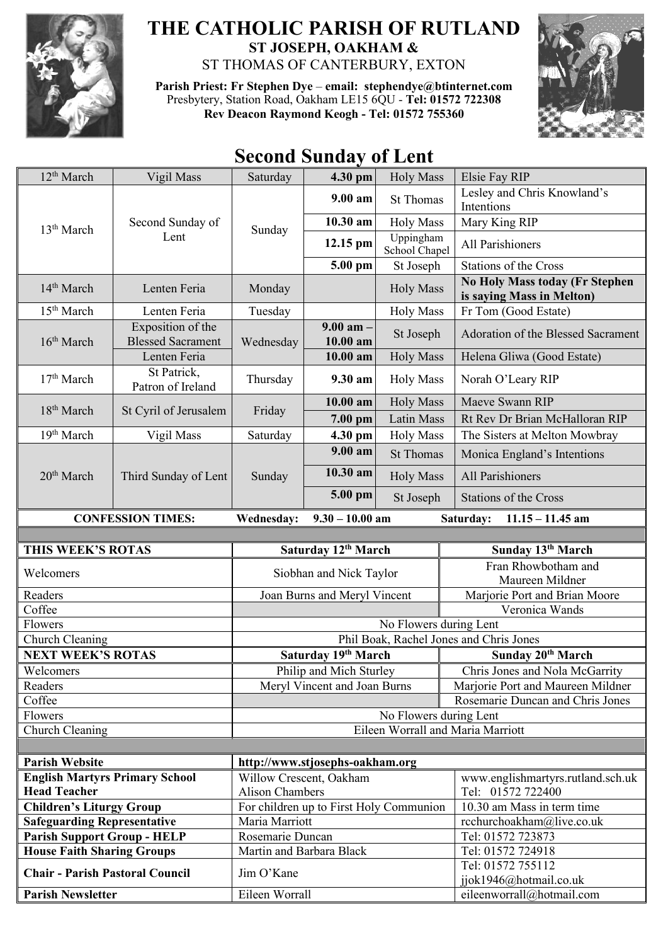

## **THE CATHOLIC PARISH OF RUTLAND ST JOSEPH, OAKHAM &**

ST THOMAS OF CANTERBURY, EXTON

**Parish Priest: Fr Stephen Dye** – **[email: stephendye@btinternet.com](mailto:email:%20%20stephendye@btinternet.com)** Presbytery, Station Road, Oakham LE15 6QU - **Tel: 01572 722308 Rev Deacon Raymond Keogh - Tel: 01572 755360**



## **Second Sunday of Lent**

| 12 <sup>th</sup> March                                             | Vigil Mass                                    | Saturday                     | 4.30 pm                                 | <b>Holy Mass</b>                  | Elsie Fay RIP                                                      |
|--------------------------------------------------------------------|-----------------------------------------------|------------------------------|-----------------------------------------|-----------------------------------|--------------------------------------------------------------------|
| 13 <sup>th</sup> March                                             | Second Sunday of<br>Lent                      | Sunday                       | $9.00 a$ m                              | <b>St Thomas</b>                  | Lesley and Chris Knowland's<br>Intentions                          |
|                                                                    |                                               |                              | 10.30 am                                | <b>Holy Mass</b>                  | Mary King RIP                                                      |
|                                                                    |                                               |                              | $12.15$ pm                              | Uppingham<br>School Chapel        | All Parishioners                                                   |
|                                                                    |                                               |                              | 5.00 pm                                 | St Joseph                         | <b>Stations of the Cross</b>                                       |
| 14 <sup>th</sup> March                                             | Lenten Feria                                  | Monday                       |                                         | <b>Holy Mass</b>                  | <b>No Holy Mass today (Fr Stephen</b><br>is saying Mass in Melton) |
| 15 <sup>th</sup> March                                             | Lenten Feria                                  | Tuesday                      |                                         | <b>Holy Mass</b>                  | Fr Tom (Good Estate)                                               |
| 16 <sup>th</sup> March                                             | Exposition of the<br><b>Blessed Sacrament</b> | Wednesday                    | $9.00$ am $-$<br>$10.00$ am             | St Joseph                         | Adoration of the Blessed Sacrament                                 |
|                                                                    | Lenten Feria                                  |                              | $10.00$ am                              | <b>Holy Mass</b>                  | Helena Gliwa (Good Estate)                                         |
| 17 <sup>th</sup> March                                             | St Patrick,<br>Patron of Ireland              | Thursday                     | 9.30 am                                 | <b>Holy Mass</b>                  | Norah O'Leary RIP                                                  |
|                                                                    |                                               |                              | $10.00$ am                              | <b>Holy Mass</b>                  | Maeve Swann RIP                                                    |
| 18 <sup>th</sup> March                                             | St Cyril of Jerusalem                         | Friday                       | $7.00$ pm                               | Latin Mass                        | Rt Rev Dr Brian McHalloran RIP                                     |
| 19th March                                                         | Vigil Mass                                    | Saturday                     | 4.30 pm                                 | <b>Holy Mass</b>                  | The Sisters at Melton Mowbray                                      |
| 20 <sup>th</sup> March                                             | Third Sunday of Lent                          | Sunday                       | 9.00 am                                 | <b>St Thomas</b>                  | Monica England's Intentions                                        |
|                                                                    |                                               |                              | 10.30 am                                | <b>Holy Mass</b>                  | All Parishioners                                                   |
|                                                                    |                                               |                              | 5.00 pm                                 | St Joseph                         | <b>Stations of the Cross</b>                                       |
|                                                                    | <b>CONFESSION TIMES:</b>                      | <b>Wednesday:</b>            | $9.30 - 10.00$ am                       |                                   | Saturday:<br>$11.15 - 11.45$ am                                    |
|                                                                    |                                               |                              |                                         |                                   |                                                                    |
|                                                                    |                                               |                              |                                         |                                   |                                                                    |
| THIS WEEK'S ROTAS                                                  |                                               |                              | Saturday 12th March                     |                                   | Sunday 13 <sup>th</sup> March                                      |
| Welcomers                                                          |                                               |                              | Siobhan and Nick Taylor                 |                                   | Fran Rhowbotham and<br>Maureen Mildner                             |
| Readers                                                            |                                               |                              | Joan Burns and Meryl Vincent            |                                   | Marjorie Port and Brian Moore                                      |
| Coffee                                                             |                                               |                              |                                         |                                   | Veronica Wands                                                     |
| Flowers                                                            |                                               |                              |                                         | No Flowers during Lent            |                                                                    |
| Church Cleaning                                                    |                                               |                              |                                         |                                   | Phil Boak, Rachel Jones and Chris Jones                            |
| <b>NEXT WEEK'S ROTAS</b>                                           |                                               |                              | Saturday 19th March                     |                                   | Sunday 20th March                                                  |
| Welcomers                                                          |                                               |                              | Philip and Mich Sturley                 |                                   | Chris Jones and Nola McGarrity                                     |
| Readers                                                            |                                               |                              | Meryl Vincent and Joan Burns            |                                   | Marjorie Port and Maureen Mildner                                  |
| Coffee                                                             |                                               |                              |                                         |                                   | Rosemarie Duncan and Chris Jones                                   |
| Flowers                                                            |                                               |                              |                                         | No Flowers during Lent            |                                                                    |
| Church Cleaning                                                    |                                               |                              |                                         | Eileen Worrall and Maria Marriott |                                                                    |
| <b>Parish Website</b>                                              |                                               |                              |                                         |                                   |                                                                    |
| <b>English Martyrs Primary School</b>                              |                                               | Willow Crescent, Oakham      | http://www.stjosephs-oakham.org         |                                   | www.englishmartyrs.rutland.sch.uk                                  |
| <b>Head Teacher</b>                                                |                                               | <b>Alison Chambers</b>       |                                         |                                   | Tel: 01572 722400                                                  |
| <b>Children's Liturgy Group</b>                                    |                                               |                              | For children up to First Holy Communion |                                   | 10.30 am Mass in term time                                         |
| <b>Safeguarding Representative</b>                                 |                                               | Maria Marriott               |                                         |                                   | rcchurchoakham@live.co.uk                                          |
| <b>Parish Support Group - HELP</b>                                 |                                               | Rosemarie Duncan             |                                         |                                   | Tel: 01572 723873                                                  |
| <b>House Faith Sharing Groups</b>                                  |                                               | Martin and Barbara Black     |                                         |                                   | Tel: 01572 724918<br>Tel: 01572 755112                             |
| <b>Chair - Parish Pastoral Council</b><br><b>Parish Newsletter</b> |                                               | Jim O'Kane<br>Eileen Worrall |                                         |                                   | jjok1946@hotmail.co.uk<br>eileenworrall@hotmail.com                |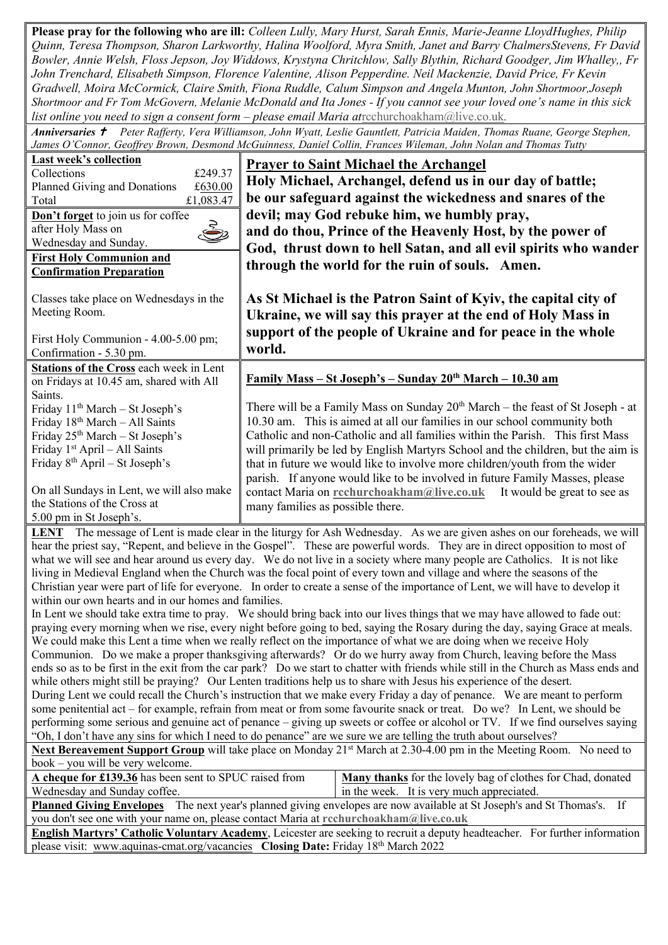**Please pray for the following who are ill:** *Colleen Lully, Mary Hurst, Sarah Ennis, Marie-Jeanne LloydHughes, Philip Quinn, Teresa Thompson, Sharon Larkworthy, Halina Woolford, Myra Smith, Janet and Barry ChalmersStevens, Fr David Bowler, Annie Welsh, Floss Jepson, Joy Widdows, Krystyna Chritchlow, Sally Blythin, Richard Goodger, Jim Whalley,, Fr John Trenchard, Elisabeth Simpson, Florence Valentine, Alison Pepperdine. Neil Mackenzie, David Price, Fr Kevin Gradwell, Moira McCormick, Claire Smith, Fiona Ruddle, Calum Simpson and Angela Munton, John Shortmoor,Joseph Shortmoor and Fr Tom McGovern, Melanie McDonald and Ita Jones - If you cannot see your loved one's name in this sick list online you need to sign a consent form – please email Maria at*[rcchurchoakham@live.co.uk](mailto:rcchurchoakham@live.co.uk)*.*

*Anniversaries Peter Rafferty, Vera Williamson, John Wyatt, Leslie Gauntlett, Patricia Maiden, Thomas Ruane, George Stephen, James O'Connor, Geoffrey Brown, Desmond McGuinness, Daniel Collin, Frances Wileman, John Nolan and Thomas Tutty* 

| Last week's collection<br>Collections<br>£249.37<br>£630.00<br>Planned Giving and Donations<br>£1,083.47<br>Total<br>Don't forget to join us for coffee<br>Š<br>after Holy Mass on<br>Wednesday and Sunday.<br><b>First Holy Communion and</b><br><b>Confirmation Preparation</b>                                                                                                                                                                                                                                                                                                                                                                                                                                                                                                                                                                                                                                                                                                                                                                                                                                                                                                                                                                                                                                                                                                                                                                                                                                                                                                                                                                                                                                                                                                                                                                                                                                                                                                                        | <b>Prayer to Saint Michael the Archangel</b><br>Holy Michael, Archangel, defend us in our day of battle;<br>be our safeguard against the wickedness and snares of the<br>devil; may God rebuke him, we humbly pray,<br>and do thou, Prince of the Heavenly Host, by the power of<br>God, thrust down to hell Satan, and all evil spirits who wander<br>through the world for the ruin of souls. Amen.                                                                                                                                                                                                                     |  |  |  |
|----------------------------------------------------------------------------------------------------------------------------------------------------------------------------------------------------------------------------------------------------------------------------------------------------------------------------------------------------------------------------------------------------------------------------------------------------------------------------------------------------------------------------------------------------------------------------------------------------------------------------------------------------------------------------------------------------------------------------------------------------------------------------------------------------------------------------------------------------------------------------------------------------------------------------------------------------------------------------------------------------------------------------------------------------------------------------------------------------------------------------------------------------------------------------------------------------------------------------------------------------------------------------------------------------------------------------------------------------------------------------------------------------------------------------------------------------------------------------------------------------------------------------------------------------------------------------------------------------------------------------------------------------------------------------------------------------------------------------------------------------------------------------------------------------------------------------------------------------------------------------------------------------------------------------------------------------------------------------------------------------------|---------------------------------------------------------------------------------------------------------------------------------------------------------------------------------------------------------------------------------------------------------------------------------------------------------------------------------------------------------------------------------------------------------------------------------------------------------------------------------------------------------------------------------------------------------------------------------------------------------------------------|--|--|--|
| Classes take place on Wednesdays in the<br>Meeting Room.<br>First Holy Communion - 4.00-5.00 pm;<br>Confirmation - 5.30 pm.                                                                                                                                                                                                                                                                                                                                                                                                                                                                                                                                                                                                                                                                                                                                                                                                                                                                                                                                                                                                                                                                                                                                                                                                                                                                                                                                                                                                                                                                                                                                                                                                                                                                                                                                                                                                                                                                              | As St Michael is the Patron Saint of Kyiv, the capital city of<br>Ukraine, we will say this prayer at the end of Holy Mass in<br>support of the people of Ukraine and for peace in the whole<br>world.                                                                                                                                                                                                                                                                                                                                                                                                                    |  |  |  |
| <b>Stations of the Cross each week in Lent</b>                                                                                                                                                                                                                                                                                                                                                                                                                                                                                                                                                                                                                                                                                                                                                                                                                                                                                                                                                                                                                                                                                                                                                                                                                                                                                                                                                                                                                                                                                                                                                                                                                                                                                                                                                                                                                                                                                                                                                           | <u> Family Mass – St Joseph's – Sunday 20<sup>th</sup> March – 10.</u> 30 am                                                                                                                                                                                                                                                                                                                                                                                                                                                                                                                                              |  |  |  |
| on Fridays at 10.45 am, shared with All<br>Saints.<br>Friday 11 <sup>th</sup> March - St Joseph's<br>Friday 18th March - All Saints<br>Friday 25 <sup>th</sup> March - St Joseph's<br>Friday 1 <sup>st</sup> April - All Saints<br>Friday 8 <sup>th</sup> April – St Joseph's<br>On all Sundays in Lent, we will also make<br>the Stations of the Cross at<br>5.00 pm in St Joseph's.                                                                                                                                                                                                                                                                                                                                                                                                                                                                                                                                                                                                                                                                                                                                                                                                                                                                                                                                                                                                                                                                                                                                                                                                                                                                                                                                                                                                                                                                                                                                                                                                                    | There will be a Family Mass on Sunday 20 <sup>th</sup> March - the feast of St Joseph - at<br>10.30 am. This is aimed at all our families in our school community both<br>Catholic and non-Catholic and all families within the Parish. This first Mass<br>will primarily be led by English Martyrs School and the children, but the aim is<br>that in future we would like to involve more children/youth from the wider<br>parish. If anyone would like to be involved in future Family Masses, please<br>contact Maria on rechurchoakham@live.co.uk<br>It would be great to see as<br>many families as possible there. |  |  |  |
| <b>LENT</b> The message of Lent is made clear in the liturgy for Ash Wednesday. As we are given ashes on our foreheads, we will<br>hear the priest say, "Repent, and believe in the Gospel". These are powerful words. They are in direct opposition to most of<br>what we will see and hear around us every day. We do not live in a society where many people are Catholics. It is not like<br>living in Medieval England when the Church was the focal point of every town and village and where the seasons of the<br>Christian year were part of life for everyone. In order to create a sense of the importance of Lent, we will have to develop it<br>within our own hearts and in our homes and families.<br>In Lent we should take extra time to pray. We should bring back into our lives things that we may have allowed to fade out:<br>praying every morning when we rise, every night before going to bed, saying the Rosary during the day, saying Grace at meals.<br>We could make this Lent a time when we really reflect on the importance of what we are doing when we receive Holy<br>Communion. Do we make a proper thanksgiving afterwards? Or do we hurry away from Church, leaving before the Mass<br>ends so as to be first in the exit from the car park? Do we start to chatter with friends while still in the Church as Mass ends and<br>while others might still be praying? Our Lenten traditions help us to share with Jesus his experience of the desert.<br>During Lent we could recall the Church's instruction that we make every Friday a day of penance. We are meant to perform<br>some penitential act – for example, refrain from meat or from some favourite snack or treat. Do we? In Lent, we should be<br>performing some serious and genuine act of penance – giving up sweets or coffee or alcohol or TV. If we find ourselves saying<br>"Oh, I don't have any sins for which I need to do penance" are we sure we are telling the truth about ourselves? |                                                                                                                                                                                                                                                                                                                                                                                                                                                                                                                                                                                                                           |  |  |  |
| Next Bereavement Support Group will take place on Monday 21 <sup>st</sup> March at 2.30-4.00 pm in the Meeting Room. No need to                                                                                                                                                                                                                                                                                                                                                                                                                                                                                                                                                                                                                                                                                                                                                                                                                                                                                                                                                                                                                                                                                                                                                                                                                                                                                                                                                                                                                                                                                                                                                                                                                                                                                                                                                                                                                                                                          |                                                                                                                                                                                                                                                                                                                                                                                                                                                                                                                                                                                                                           |  |  |  |
| book – you will be very welcome.<br>A cheque for £139.36 has been sent to SPUC raised from<br>Many thanks for the lovely bag of clothes for Chad, donated                                                                                                                                                                                                                                                                                                                                                                                                                                                                                                                                                                                                                                                                                                                                                                                                                                                                                                                                                                                                                                                                                                                                                                                                                                                                                                                                                                                                                                                                                                                                                                                                                                                                                                                                                                                                                                                |                                                                                                                                                                                                                                                                                                                                                                                                                                                                                                                                                                                                                           |  |  |  |
| Wednesday and Sunday coffee.                                                                                                                                                                                                                                                                                                                                                                                                                                                                                                                                                                                                                                                                                                                                                                                                                                                                                                                                                                                                                                                                                                                                                                                                                                                                                                                                                                                                                                                                                                                                                                                                                                                                                                                                                                                                                                                                                                                                                                             | in the week. It is very much appreciated.                                                                                                                                                                                                                                                                                                                                                                                                                                                                                                                                                                                 |  |  |  |
| Planned Giving Envelopes The next year's planned giving envelopes are now available at St Joseph's and St Thomas's. If                                                                                                                                                                                                                                                                                                                                                                                                                                                                                                                                                                                                                                                                                                                                                                                                                                                                                                                                                                                                                                                                                                                                                                                                                                                                                                                                                                                                                                                                                                                                                                                                                                                                                                                                                                                                                                                                                   |                                                                                                                                                                                                                                                                                                                                                                                                                                                                                                                                                                                                                           |  |  |  |
| you don't see one with your name on, please contact Maria at rechurchoakham@live.co.uk<br>English Martyrs' Catholic Voluntary Academy, Leicester are seeking to recruit a deputy headteacher. For further information                                                                                                                                                                                                                                                                                                                                                                                                                                                                                                                                                                                                                                                                                                                                                                                                                                                                                                                                                                                                                                                                                                                                                                                                                                                                                                                                                                                                                                                                                                                                                                                                                                                                                                                                                                                    |                                                                                                                                                                                                                                                                                                                                                                                                                                                                                                                                                                                                                           |  |  |  |

please visit: [www.aquinas-cmat.org/vacancies](http://www.aquinas-cmat.org/vacancies) **Closing Date:** Friday 18th March 2022